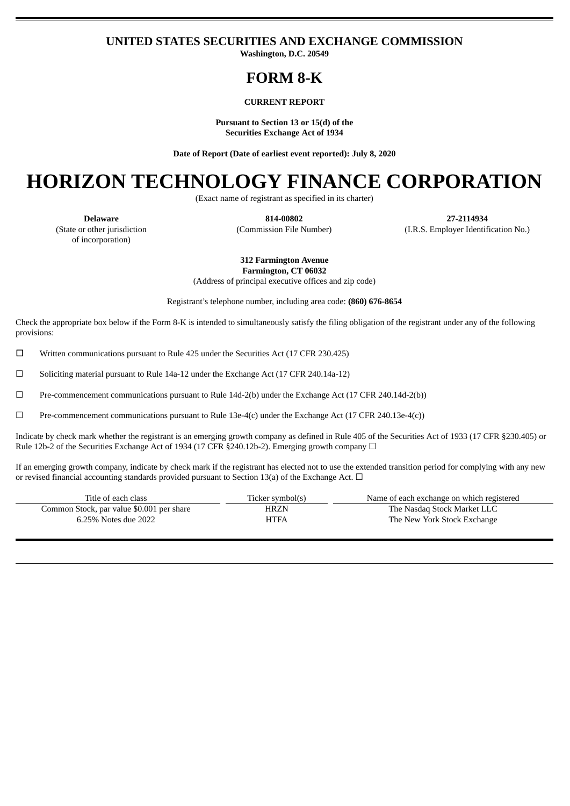# **UNITED STATES SECURITIES AND EXCHANGE COMMISSION**

**Washington, D.C. 20549**

# **FORM 8-K**

## **CURRENT REPORT**

**Pursuant to Section 13 or 15(d) of the Securities Exchange Act of 1934**

**Date of Report (Date of earliest event reported): July 8, 2020**

# **HORIZON TECHNOLOGY FINANCE CORPORATION**

(Exact name of registrant as specified in its charter)

(State or other jurisdiction of incorporation)

**Delaware 814-00802 27-2114934** (Commission File Number) (I.R.S. Employer Identification No.)

**312 Farmington Avenue**

**Farmington, CT 06032** (Address of principal executive offices and zip code)

Registrant's telephone number, including area code: **(860) 676-8654**

Check the appropriate box below if the Form 8-K is intended to simultaneously satisfy the filing obligation of the registrant under any of the following provisions:

☐ Written communications pursuant to Rule 425 under the Securities Act (17 CFR 230.425)

☐ Soliciting material pursuant to Rule 14a-12 under the Exchange Act (17 CFR 240.14a-12)

 $\Box$  Pre-commencement communications pursuant to Rule 14d-2(b) under the Exchange Act (17 CFR 240.14d-2(b))

☐ Pre-commencement communications pursuant to Rule 13e-4(c) under the Exchange Act (17 CFR 240.13e-4(c))

Indicate by check mark whether the registrant is an emerging growth company as defined in Rule 405 of the Securities Act of 1933 (17 CFR §230.405) or Rule 12b-2 of the Securities Exchange Act of 1934 (17 CFR §240.12b-2). Emerging growth company  $\Box$ 

If an emerging growth company, indicate by check mark if the registrant has elected not to use the extended transition period for complying with any new or revised financial accounting standards provided pursuant to Section 13(a) of the Exchange Act.  $\Box$ 

| Title of each class                       | Ticker symbol(s) | Name of each exchange on which registered |
|-------------------------------------------|------------------|-------------------------------------------|
| Common Stock, par value \$0.001 per share | HRZN             | The Nasdaq Stock Market LLC               |
| 6.25% Notes due 2022                      | <b>HTFA</b>      | The New York Stock Exchange               |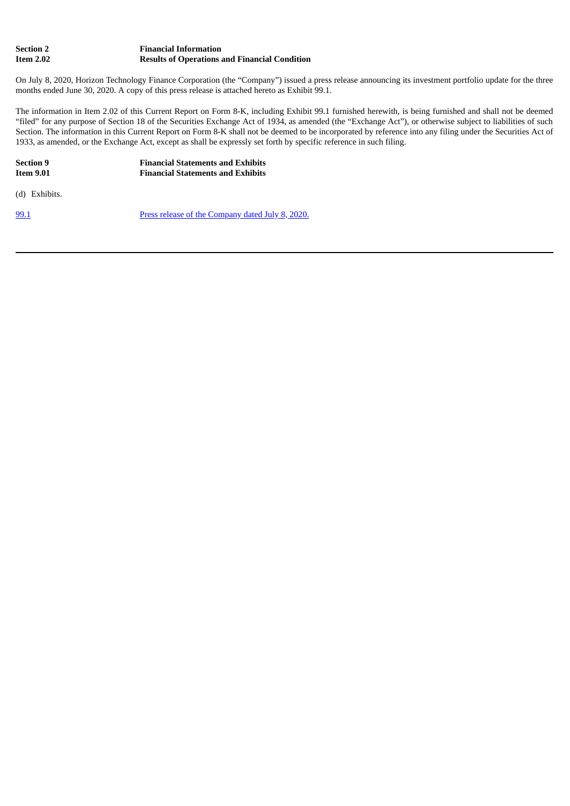| Section 2 | <b>Financial Information</b>                         |
|-----------|------------------------------------------------------|
| Item 2.02 | <b>Results of Operations and Financial Condition</b> |

On July 8, 2020, Horizon Technology Finance Corporation (the "Company") issued a press release announcing its investment portfolio update for the three months ended June 30, 2020. A copy of this press release is attached hereto as Exhibit 99.1.

The information in Item 2.02 of this Current Report on Form 8-K, including Exhibit 99.1 furnished herewith, is being furnished and shall not be deemed "filed" for any purpose of Section 18 of the Securities Exchange Act of 1934, as amended (the "Exchange Act"), or otherwise subject to liabilities of such Section. The information in this Current Report on Form 8-K shall not be deemed to be incorporated by reference into any filing under the Securities Act of 1933, as amended, or the Exchange Act, except as shall be expressly set forth by specific reference in such filing.

**Section 9 Financial Statements and Exhibits IEE** *I***EE** *Pinancial* **Statements and Exhibits** 

(d) Exhibits.

[99.1](#page-3-0) Press release of the [Company](#page-3-0) dated July 8, 2020.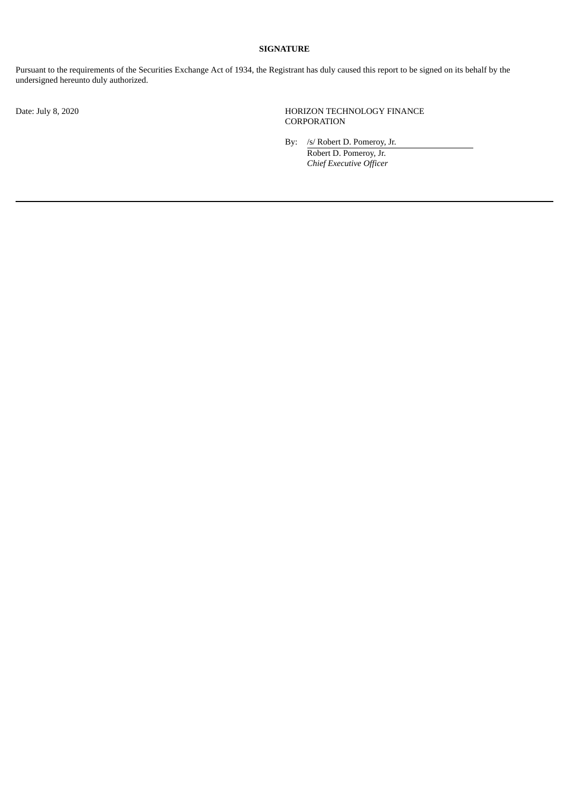# **SIGNATURE**

Pursuant to the requirements of the Securities Exchange Act of 1934, the Registrant has duly caused this report to be signed on its behalf by the undersigned hereunto duly authorized.

Date: July 8, 2020 HORIZON TECHNOLOGY FINANCE **CORPORATION** 

By: /s/ Robert D. Pomeroy, Jr.

Robert D. Pomeroy, Jr. *Chief Executive Officer*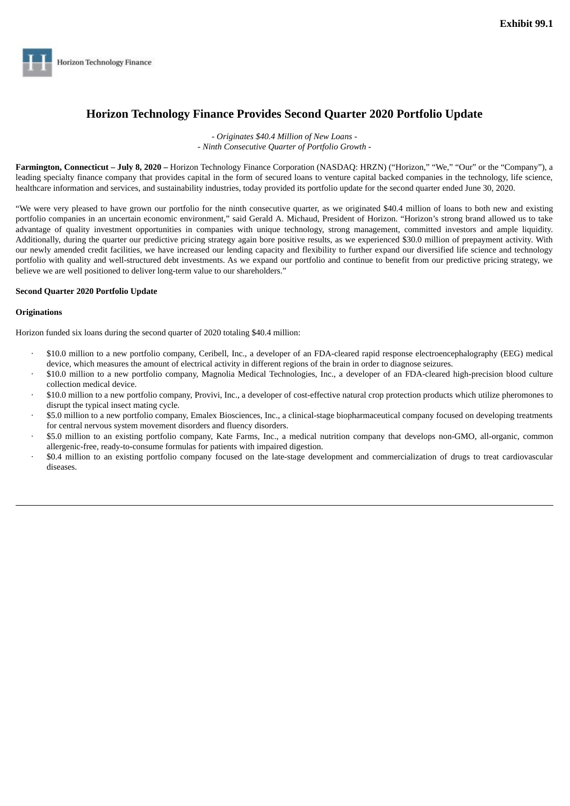<span id="page-3-0"></span>

# **Horizon Technology Finance Provides Second Quarter 2020 Portfolio Update**

- *Originates \$40.4 Million of New Loans -* - *Ninth Consecutive Quarter of Portfolio Growth -*

**Farmington, Connecticut – July 8, 2020 –** Horizon Technology Finance Corporation (NASDAQ: HRZN) ("Horizon," "We," "Our" or the "Company"), a leading specialty finance company that provides capital in the form of secured loans to venture capital backed companies in the technology, life science, healthcare information and services, and sustainability industries, today provided its portfolio update for the second quarter ended June 30, 2020.

"We were very pleased to have grown our portfolio for the ninth consecutive quarter, as we originated \$40.4 million of loans to both new and existing portfolio companies in an uncertain economic environment," said Gerald A. Michaud, President of Horizon. "Horizon's strong brand allowed us to take advantage of quality investment opportunities in companies with unique technology, strong management, committed investors and ample liquidity. Additionally, during the quarter our predictive pricing strategy again bore positive results, as we experienced \$30.0 million of prepayment activity. With our newly amended credit facilities, we have increased our lending capacity and flexibility to further expand our diversified life science and technology portfolio with quality and well-structured debt investments. As we expand our portfolio and continue to benefit from our predictive pricing strategy, we believe we are well positioned to deliver long-term value to our shareholders."

# **Second Quarter 2020 Portfolio Update**

## **Originations**

Horizon funded six loans during the second quarter of 2020 totaling \$40.4 million:

- · \$10.0 million to a new portfolio company, Ceribell, Inc., a developer of an FDA-cleared rapid response electroencephalography (EEG) medical device, which measures the amount of electrical activity in different regions of the brain in order to diagnose seizures.
- · \$10.0 million to a new portfolio company, Magnolia Medical Technologies, Inc., a developer of an FDA-cleared high-precision blood culture collection medical device.
- · \$10.0 million to a new portfolio company, Provivi, Inc., a developer of cost-effective natural crop protection products which utilize pheromones to disrupt the typical insect mating cycle.
- · \$5.0 million to a new portfolio company, Emalex Biosciences, Inc., a clinical-stage biopharmaceutical company focused on developing treatments for central nervous system movement disorders and fluency disorders.
- · \$5.0 million to an existing portfolio company, Kate Farms, Inc., a medical nutrition company that develops non-GMO, all-organic, common allergenic-free, ready-to-consume formulas for patients with impaired digestion.
- · \$0.4 million to an existing portfolio company focused on the late-stage development and commercialization of drugs to treat cardiovascular diseases.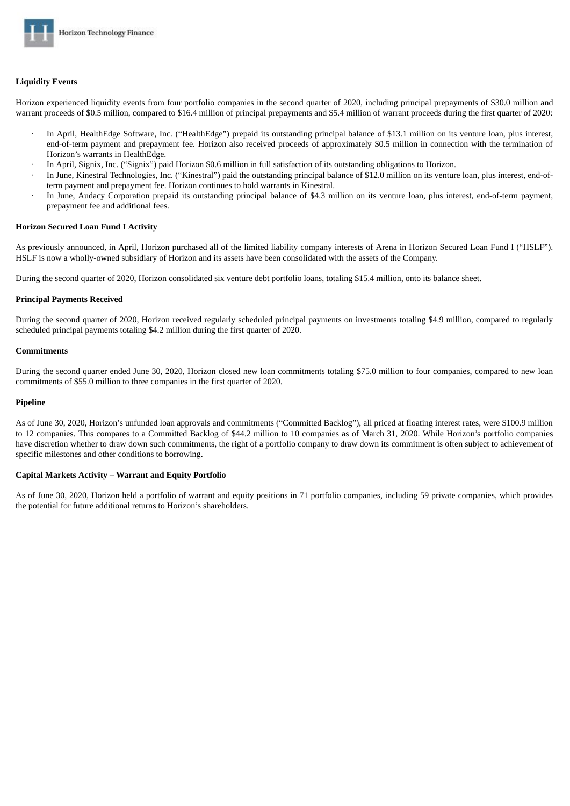

## **Liquidity Events**

Horizon experienced liquidity events from four portfolio companies in the second quarter of 2020, including principal prepayments of \$30.0 million and warrant proceeds of \$0.5 million, compared to \$16.4 million of principal prepayments and \$5.4 million of warrant proceeds during the first quarter of 2020:

- · In April, HealthEdge Software, Inc. ("HealthEdge") prepaid its outstanding principal balance of \$13.1 million on its venture loan, plus interest, end-of-term payment and prepayment fee. Horizon also received proceeds of approximately \$0.5 million in connection with the termination of Horizon's warrants in HealthEdge.
- In April, Signix, Inc. ("Signix") paid Horizon \$0.6 million in full satisfaction of its outstanding obligations to Horizon.
- In June, Kinestral Technologies, Inc. ("Kinestral") paid the outstanding principal balance of \$12.0 million on its venture loan, plus interest, end-ofterm payment and prepayment fee. Horizon continues to hold warrants in Kinestral.
- · In June, Audacy Corporation prepaid its outstanding principal balance of \$4.3 million on its venture loan, plus interest, end-of-term payment, prepayment fee and additional fees.

#### **Horizon Secured Loan Fund I Activity**

As previously announced, in April, Horizon purchased all of the limited liability company interests of Arena in Horizon Secured Loan Fund I ("HSLF"). HSLF is now a wholly-owned subsidiary of Horizon and its assets have been consolidated with the assets of the Company.

During the second quarter of 2020, Horizon consolidated six venture debt portfolio loans, totaling \$15.4 million, onto its balance sheet.

#### **Principal Payments Received**

During the second quarter of 2020, Horizon received regularly scheduled principal payments on investments totaling \$4.9 million, compared to regularly scheduled principal payments totaling \$4.2 million during the first quarter of 2020.

#### **Commitments**

During the second quarter ended June 30, 2020, Horizon closed new loan commitments totaling \$75.0 million to four companies, compared to new loan commitments of \$55.0 million to three companies in the first quarter of 2020.

#### **Pipeline**

As of June 30, 2020, Horizon's unfunded loan approvals and commitments ("Committed Backlog"), all priced at floating interest rates, were \$100.9 million to 12 companies. This compares to a Committed Backlog of \$44.2 million to 10 companies as of March 31, 2020. While Horizon's portfolio companies have discretion whether to draw down such commitments, the right of a portfolio company to draw down its commitment is often subject to achievement of specific milestones and other conditions to borrowing.

#### **Capital Markets Activity – Warrant and Equity Portfolio**

As of June 30, 2020, Horizon held a portfolio of warrant and equity positions in 71 portfolio companies, including 59 private companies, which provides the potential for future additional returns to Horizon's shareholders.